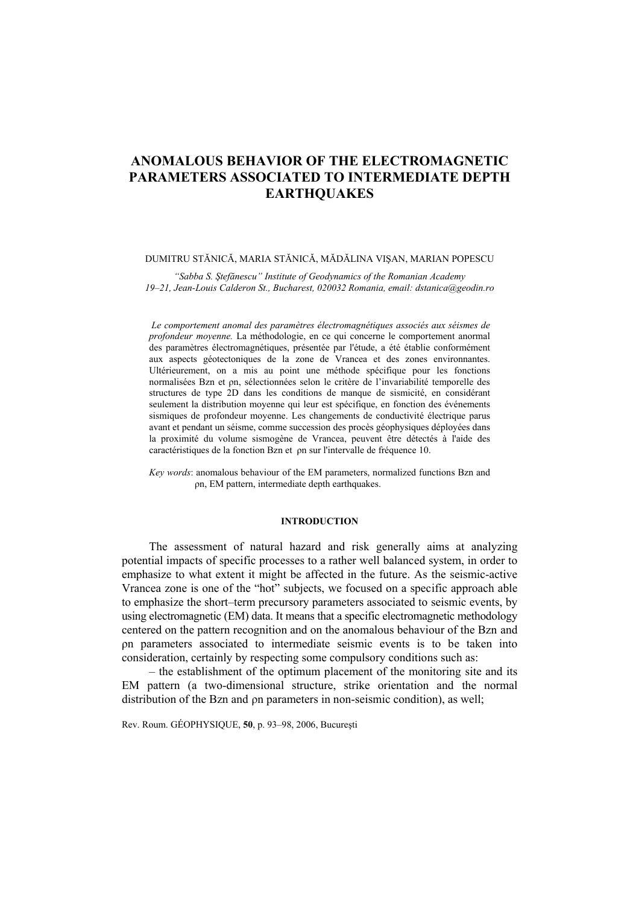# **ANOMALOUS BEHAVIOR OF THE ELECTROMAGNETIC PARAMETERS ASSOCIATED TO INTERMEDIATE DEPTH EARTHQUAKES**

### DUMITRU STĂNICĂ, MARIA STĂNICĂ, MĂDĂLINA VIŞAN, MARIAN POPESCU

*"Sabba S. Ştefănescu" Institute of Geodynamics of the Romanian Academy 19–21, Jean-Louis Calderon St., Bucharest, 020032 Romania, email: dstanica@geodin.ro*

 *Le comportement anomal des paramètres électromagnétiques associés aux séismes de profondeur moyenne.* La méthodologie, en ce qui concerne le comportement anormal des paramètres électromagnétiques, présentée par l'étude, a été établie conformément aux aspects géotectoniques de la zone de Vrancea et des zones environnantes. Ultérieurement, on a mis au point une méthode spécifique pour les fonctions normalisées Bzn et ρn, sélectionnées selon le critère de l'invariabilité temporelle des structures de type 2D dans les conditions de manque de sismicité, en considérant seulement la distribution moyenne qui leur est spécifique, en fonction des événements sismiques de profondeur moyenne. Les changements de conductivité électrique parus avant et pendant un séisme, comme succession des procès géophysiques déployées dans la proximité du volume sismogène de Vrancea, peuvent être détectés à l'aide des caractéristiques de la fonction Bzn et ρn sur l'intervalle de fréquence 10.

*Key words*: anomalous behaviour of the EM parameters, normalized functions Bzn and ρn, EM pattern, intermediate depth earthquakes.

#### **INTRODUCTION**

The assessment of natural hazard and risk generally aims at analyzing potential impacts of specific processes to a rather well balanced system, in order to emphasize to what extent it might be affected in the future. As the seismic-active Vrancea zone is one of the "hot" subjects, we focused on a specific approach able to emphasize the short–term precursory parameters associated to seismic events, by using electromagnetic (EM) data. It means that a specific electromagnetic methodology centered on the pattern recognition and on the anomalous behaviour of the Bzn and ρn parameters associated to intermediate seismic events is to be taken into consideration, certainly by respecting some compulsory conditions such as:

– the establishment of the optimum placement of the monitoring site and its EM pattern (a two-dimensional structure, strike orientation and the normal distribution of the Bzn and ρn parameters in non-seismic condition), as well;

Rev. Roum. GÉOPHYSIQUE, **50**, p. 93–98, 2006, Bucureşti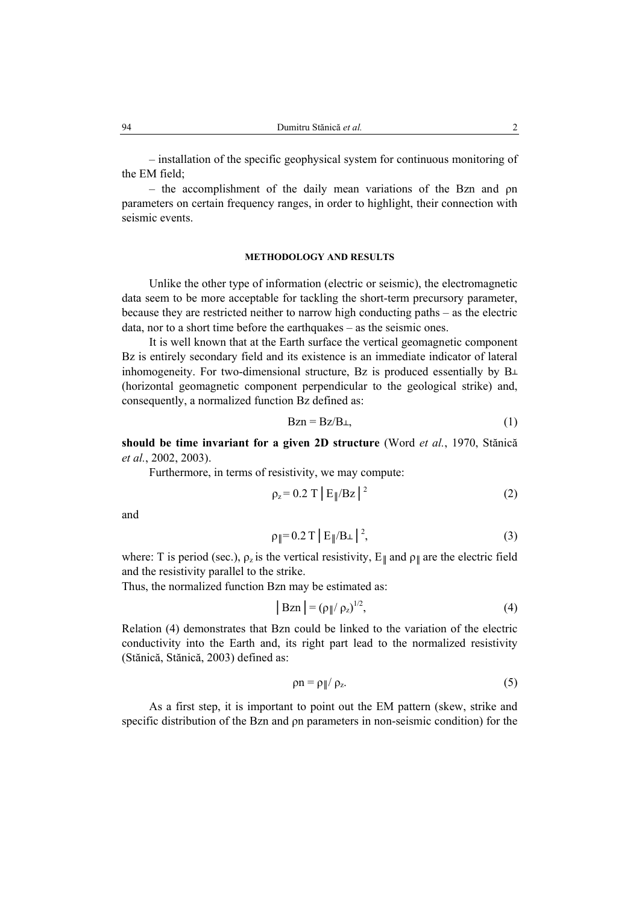– installation of the specific geophysical system for continuous monitoring of the EM field;

– the accomplishment of the daily mean variations of the Bzn and ρn parameters on certain frequency ranges, in order to highlight, their connection with seismic events.

# **METHODOLOGY AND RESULTS**

Unlike the other type of information (electric or seismic), the electromagnetic data seem to be more acceptable for tackling the short-term precursory parameter, because they are restricted neither to narrow high conducting paths – as the electric data, nor to a short time before the earthquakes – as the seismic ones.

It is well known that at the Earth surface the vertical geomagnetic component Bz is entirely secondary field and its existence is an immediate indicator of lateral inhomogeneity. For two-dimensional structure, Bz is produced essentially by  $B<sub>+</sub>$ (horizontal geomagnetic component perpendicular to the geological strike) and, consequently, a normalized function Bz defined as:

$$
Bzn = Bz/B+, \tag{1}
$$

**should be time invariant for a given 2D structure** (Word *et al.*, 1970, Stănică *et al.*, 2002, 2003).

Furthermore, in terms of resistivity, we may compute:

$$
\rho_z = 0.2 \text{ T } \left| \text{E}_{\parallel} / \text{Bz} \right|^{2} \tag{2}
$$

and

$$
\rho_{\parallel} = 0.2 \text{ T} |E_{\parallel} / B_{\perp}|^2, \tag{3}
$$

where: T is period (sec.),  $\rho_z$  is the vertical resistivity,  $E_{\parallel}$  and  $\rho_{\parallel}$  are the electric field and the resistivity parallel to the strike.

Thus, the normalized function Bzn may be estimated as:

$$
|\operatorname{Bzn}| = (\rho_{\parallel}/\rho_z)^{1/2},\tag{4}
$$

Relation (4) demonstrates that Bzn could be linked to the variation of the electric conductivity into the Earth and, its right part lead to the normalized resistivity (Stănică, Stănică, 2003) defined as:

$$
\rho n = \rho_{\parallel}/\rho_z. \tag{5}
$$

As a first step, it is important to point out the EM pattern (skew, strike and specific distribution of the Bzn and ρn parameters in non-seismic condition) for the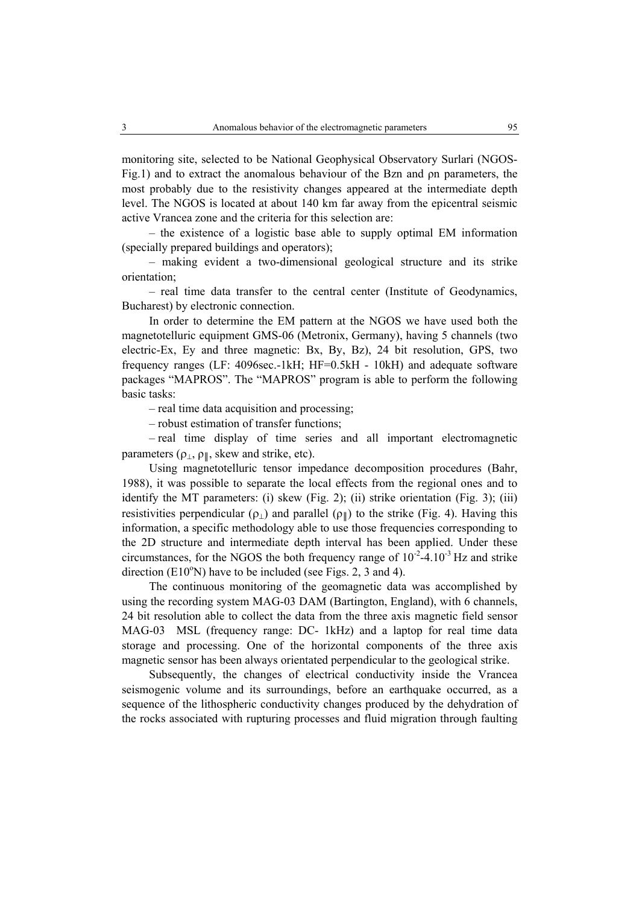monitoring site, selected to be National Geophysical Observatory Surlari (NGOS-Fig.1) and to extract the anomalous behaviour of the Bzn and ρn parameters, the most probably due to the resistivity changes appeared at the intermediate depth level. The NGOS is located at about 140 km far away from the epicentral seismic active Vrancea zone and the criteria for this selection are:

– the existence of a logistic base able to supply optimal EM information (specially prepared buildings and operators);

– making evident a two-dimensional geological structure and its strike orientation;

– real time data transfer to the central center (Institute of Geodynamics, Bucharest) by electronic connection.

In order to determine the EM pattern at the NGOS we have used both the magnetotelluric equipment GMS-06 (Metronix, Germany), having 5 channels (two electric-Ex, Ey and three magnetic: Bx, By, Bz), 24 bit resolution, GPS, two frequency ranges (LF: 4096sec.-1kH; HF=0.5kH - 10kH) and adequate software packages "MAPROS". The "MAPROS" program is able to perform the following basic tasks:

– real time data acquisition and processing;

– robust estimation of transfer functions;

– real time display of time series and all important electromagnetic parameters ( $\rho_{\perp}$ ,  $\rho_{\parallel}$ , skew and strike, etc).

Using magnetotelluric tensor impedance decomposition procedures (Bahr, 1988), it was possible to separate the local effects from the regional ones and to identify the MT parameters: (i) skew (Fig. 2); (ii) strike orientation (Fig. 3); (iii) resistivities perpendicular ( $\rho_{\perp}$ ) and parallel ( $\rho_{\parallel}$ ) to the strike (Fig. 4). Having this information, a specific methodology able to use those frequencies corresponding to the 2D structure and intermediate depth interval has been applied. Under these circumstances, for the NGOS the both frequency range of  $10^{-2}$ -4.10<sup>-3</sup> Hz and strike direction  $(E10^{\circ}N)$  have to be included (see Figs. 2, 3 and 4).

The continuous monitoring of the geomagnetic data was accomplished by using the recording system MAG-03 DAM (Bartington, England), with 6 channels, 24 bit resolution able to collect the data from the three axis magnetic field sensor MAG-03 MSL (frequency range: DC- 1kHz) and a laptop for real time data storage and processing. One of the horizontal components of the three axis magnetic sensor has been always orientated perpendicular to the geological strike.

Subsequently, the changes of electrical conductivity inside the Vrancea seismogenic volume and its surroundings, before an earthquake occurred, as a sequence of the lithospheric conductivity changes produced by the dehydration of the rocks associated with rupturing processes and fluid migration through faulting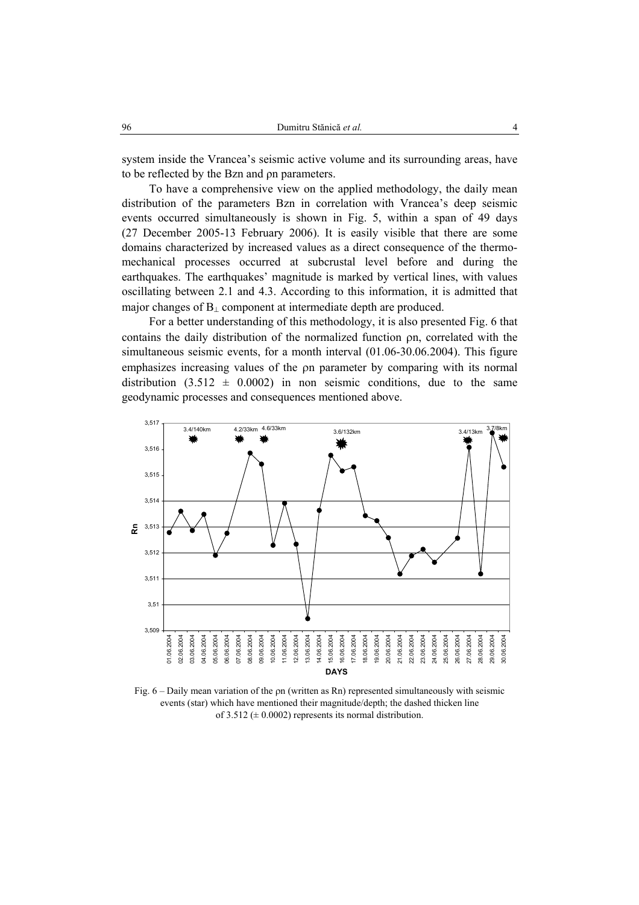system inside the Vrancea's seismic active volume and its surrounding areas, have to be reflected by the Bzn and ρn parameters.

To have a comprehensive view on the applied methodology, the daily mean distribution of the parameters Bzn in correlation with Vrancea's deep seismic events occurred simultaneously is shown in Fig. 5, within a span of 49 days (27 December 2005-13 February 2006). It is easily visible that there are some domains characterized by increased values as a direct consequence of the thermomechanical processes occurred at subcrustal level before and during the earthquakes. The earthquakes' magnitude is marked by vertical lines, with values oscillating between 2.1 and 4.3. According to this information, it is admitted that major changes of B<sub>⊥</sub> component at intermediate depth are produced.

For a better understanding of this methodology, it is also presented Fig. 6 that contains the daily distribution of the normalized function ρn, correlated with the simultaneous seismic events, for a month interval (01.06-30.06.2004). This figure emphasizes increasing values of the ρn parameter by comparing with its normal distribution  $(3.512 \pm 0.0002)$  in non seismic conditions, due to the same geodynamic processes and consequences mentioned above.



Fig.  $6 -$  Daily mean variation of the on (written as Rn) represented simultaneously with seismic events (star) which have mentioned their magnitude/depth; the dashed thicken line of 3.512 ( $\pm$  0.0002) represents its normal distribution.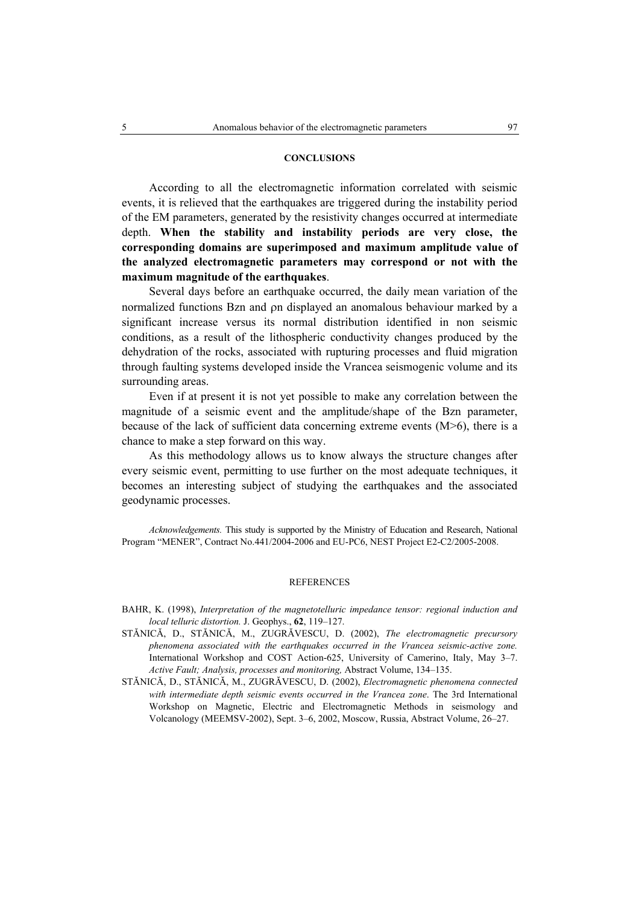# **CONCLUSIONS**

According to all the electromagnetic information correlated with seismic events, it is relieved that the earthquakes are triggered during the instability period of the EM parameters, generated by the resistivity changes occurred at intermediate depth. **When the stability and instability periods are very close, the corresponding domains are superimposed and maximum amplitude value of the analyzed electromagnetic parameters may correspond or not with the maximum magnitude of the earthquakes**.

Several days before an earthquake occurred, the daily mean variation of the normalized functions Bzn and ρn displayed an anomalous behaviour marked by a significant increase versus its normal distribution identified in non seismic conditions, as a result of the lithospheric conductivity changes produced by the dehydration of the rocks, associated with rupturing processes and fluid migration through faulting systems developed inside the Vrancea seismogenic volume and its surrounding areas.

Even if at present it is not yet possible to make any correlation between the magnitude of a seismic event and the amplitude/shape of the Bzn parameter, because of the lack of sufficient data concerning extreme events  $(M>6)$ , there is a chance to make a step forward on this way.

As this methodology allows us to know always the structure changes after every seismic event, permitting to use further on the most adequate techniques, it becomes an interesting subject of studying the earthquakes and the associated geodynamic processes.

*Acknowledgements.* This study is supported by the Ministry of Education and Research, National Program "MENER", Contract No.441/2004-2006 and EU-PC6, NEST Project E2-C2/2005-2008.

### **REFERENCES**

- BAHR, K. (1998), *Interpretation of the magnetotelluric impedance tensor: regional induction and local telluric distortion.* J. Geophys., **62**, 119–127.
- STĂNICĂ, D., STĂNICĂ, M., ZUGRĂVESCU, D. (2002), *The electromagnetic precursory phenomena associated with the earthquakes occurred in the Vrancea seismic-active zone.* International Workshop and COST Action-625, University of Camerino, Italy, May 3–7. *Active Fault; Analysis, processes and monitoring,* Abstract Volume, 134–135.
- STĂNICĂ, D., STĂNICĂ, M., ZUGRĂVESCU, D. (2002), *Electromagnetic phenomena connected with intermediate depth seismic events occurred in the Vrancea zone*. The 3rd International Workshop on Magnetic, Electric and Electromagnetic Methods in seismology and Volcanology (MEEMSV-2002), Sept. 3–6, 2002, Moscow, Russia, Abstract Volume, 26–27.